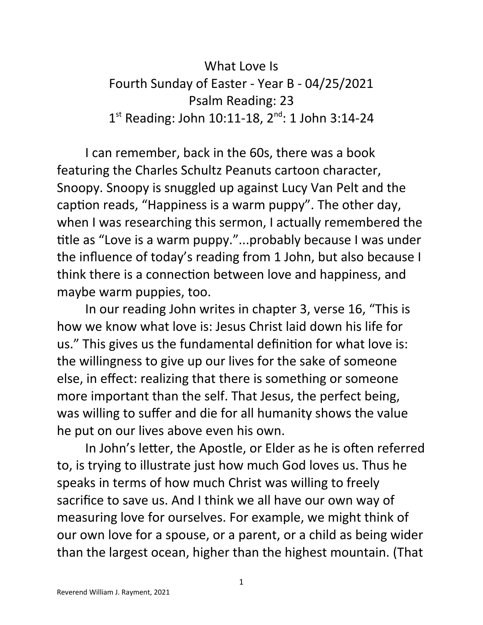## What Love Is Fourth Sunday of Easter - Year B - 04/25/2021 Psalm Reading: 23 1<sup>st</sup> Reading: John 10:11-18, 2<sup>nd</sup>: 1 John 3:14-24

I can remember, back in the 60s, there was a book featuring the Charles Schultz Peanuts cartoon character, Snoopy. Snoopy is snuggled up against Lucy Van Pelt and the caption reads, "Happiness is a warm puppy". The other day, when I was researching this sermon, I actually remembered the title as "Love is a warm puppy."...probably because I was under the influence of today's reading from 1 John, but also because I think there is a connection between love and happiness, and maybe warm puppies, too.

In our reading John writes in chapter 3, verse 16, "This is how we know what love is: Jesus Christ laid down his life for us." This gives us the fundamental definition for what love is: the willingness to give up our lives for the sake of someone else, in effect: realizing that there is something or someone more important than the self. That Jesus, the perfect being, was willing to suffer and die for all humanity shows the value he put on our lives above even his own.

In John's letter, the Apostle, or Elder as he is often referred to, is trying to illustrate just how much God loves us. Thus he speaks in terms of how much Christ was willing to freely sacrifice to save us. And I think we all have our own way of measuring love for ourselves. For example, we might think of our own love for a spouse, or a parent, or a child as being wider than the largest ocean, higher than the highest mountain. (That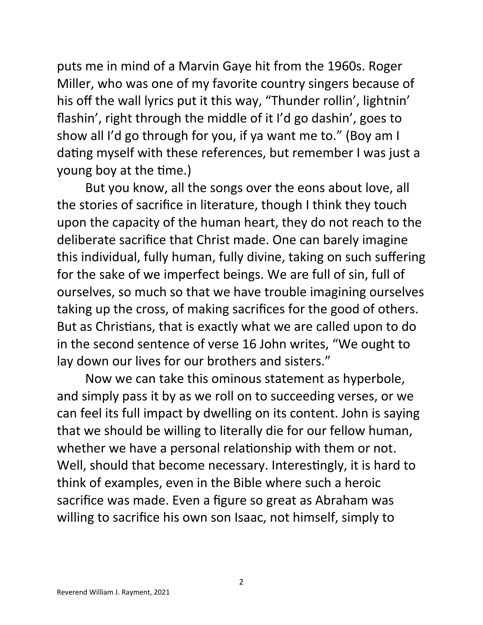puts me in mind of a Marvin Gaye hit from the 1960s. Roger Miller, who was one of my favorite country singers because of his off the wall lyrics put it this way, "Thunder rollin', lightnin' flashin', right through the middle of it I'd go dashin', goes to show all I'd go through for you, if ya want me to." (Boy am I dating myself with these references, but remember I was just a young boy at the time.)

But you know, all the songs over the eons about love, all the stories of sacrifice in literature, though I think they touch upon the capacity of the human heart, they do not reach to the deliberate sacrifice that Christ made. One can barely imagine this individual, fully human, fully divine, taking on such suffering for the sake of we imperfect beings. We are full of sin, full of ourselves, so much so that we have trouble imagining ourselves taking up the cross, of making sacrifices for the good of others. But as Christians, that is exactly what we are called upon to do in the second sentence of verse 16 John writes, "We ought to lay down our lives for our brothers and sisters."

Now we can take this ominous statement as hyperbole, and simply pass it by as we roll on to succeeding verses, or we can feel its full impact by dwelling on its content. John is saying that we should be willing to literally die for our fellow human, whether we have a personal relationship with them or not. Well, should that become necessary. Interestingly, it is hard to think of examples, even in the Bible where such a heroic sacrifice was made. Even a figure so great as Abraham was willing to sacrifice his own son Isaac, not himself, simply to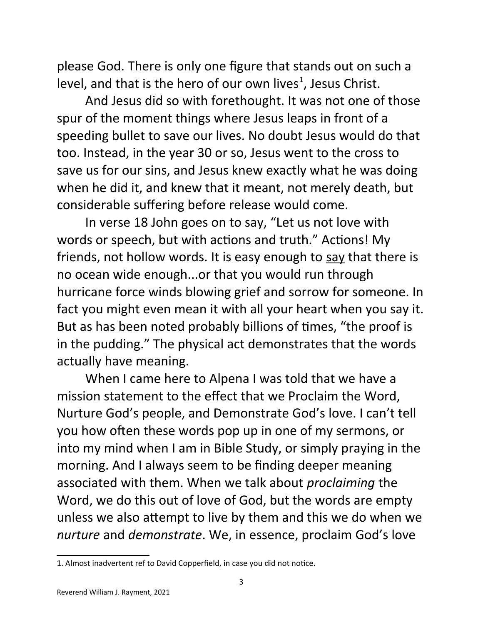please God. There is only one figure that stands out on such a level, and that is the hero of our own lives<sup>[1](#page-2-0)</sup>, Jesus Christ.

And Jesus did so with forethought. It was not one of those spur of the moment things where Jesus leaps in front of a speeding bullet to save our lives. No doubt Jesus would do that too. Instead, in the year 30 or so, Jesus went to the cross to save us for our sins, and Jesus knew exactly what he was doing when he did it, and knew that it meant, not merely death, but considerable suffering before release would come.

In verse 18 John goes on to say, "Let us not love with words or speech, but with actions and truth." Actions! My friends, not hollow words. It is easy enough to say that there is no ocean wide enough...or that you would run through hurricane force winds blowing grief and sorrow for someone. In fact you might even mean it with all your heart when you say it. But as has been noted probably billions of times, "the proof is in the pudding." The physical act demonstrates that the words actually have meaning.

When I came here to Alpena I was told that we have a mission statement to the effect that we Proclaim the Word, Nurture God's people, and Demonstrate God's love. I can't tell you how often these words pop up in one of my sermons, or into my mind when I am in Bible Study, or simply praying in the morning. And I always seem to be finding deeper meaning associated with them. When we talk about *proclaiming* the Word, we do this out of love of God, but the words are empty unless we also attempt to live by them and this we do when we *nurture* and *demonstrate*. We, in essence, proclaim God's love

<span id="page-2-0"></span><sup>1.</sup> Almost inadvertent ref to David Copperfield, in case you did not notice.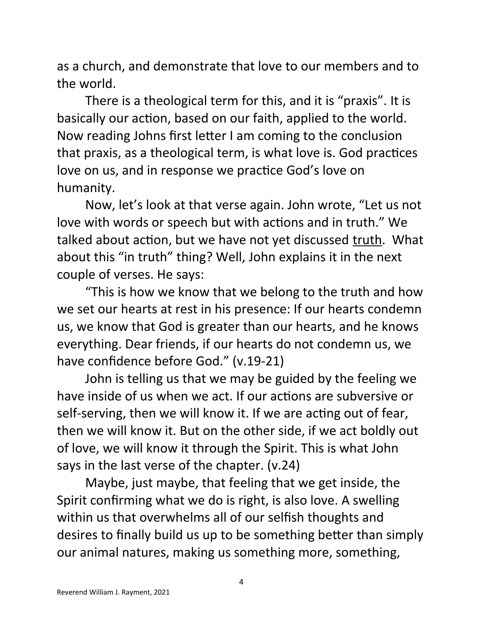as a church, and demonstrate that love to our members and to the world.

There is a theological term for this, and it is "praxis". It is basically our action, based on our faith, applied to the world. Now reading Johns first letter I am coming to the conclusion that praxis, as a theological term, is what love is. God practices love on us, and in response we practice God's love on humanity.

Now, let's look at that verse again. John wrote, "Let us not love with words or speech but with actions and in truth." We talked about action, but we have not yet discussed truth. What about this "in truth" thing? Well, John explains it in the next couple of verses. He says:

"This is how we know that we belong to the truth and how we set our hearts at rest in his presence: If our hearts condemn us, we know that God is greater than our hearts, and he knows everything. Dear friends, if our hearts do not condemn us, we have confidence before God." (v.19-21)

John is telling us that we may be guided by the feeling we have inside of us when we act. If our actions are subversive or self-serving, then we will know it. If we are acting out of fear, then we will know it. But on the other side, if we act boldly out of love, we will know it through the Spirit. This is what John says in the last verse of the chapter. (v.24)

Maybe, just maybe, that feeling that we get inside, the Spirit confirming what we do is right, is also love. A swelling within us that overwhelms all of our selfish thoughts and desires to finally build us up to be something better than simply our animal natures, making us something more, something,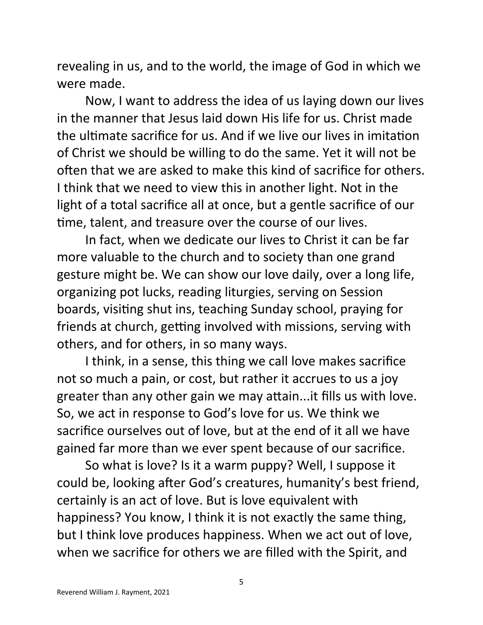revealing in us, and to the world, the image of God in which we were made.

Now, I want to address the idea of us laying down our lives in the manner that Jesus laid down His life for us. Christ made the ultimate sacrifice for us. And if we live our lives in imitation of Christ we should be willing to do the same. Yet it will not be often that we are asked to make this kind of sacrifice for others. I think that we need to view this in another light. Not in the light of a total sacrifice all at once, but a gentle sacrifice of our time, talent, and treasure over the course of our lives.

In fact, when we dedicate our lives to Christ it can be far more valuable to the church and to society than one grand gesture might be. We can show our love daily, over a long life, organizing pot lucks, reading liturgies, serving on Session boards, visiting shut ins, teaching Sunday school, praying for friends at church, getting involved with missions, serving with others, and for others, in so many ways.

I think, in a sense, this thing we call love makes sacrifice not so much a pain, or cost, but rather it accrues to us a joy greater than any other gain we may attain...it fills us with love. So, we act in response to God's love for us. We think we sacrifice ourselves out of love, but at the end of it all we have gained far more than we ever spent because of our sacrifice.

So what is love? Is it a warm puppy? Well, I suppose it could be, looking after God's creatures, humanity's best friend, certainly is an act of love. But is love equivalent with happiness? You know, I think it is not exactly the same thing, but I think love produces happiness. When we act out of love, when we sacrifice for others we are filled with the Spirit, and